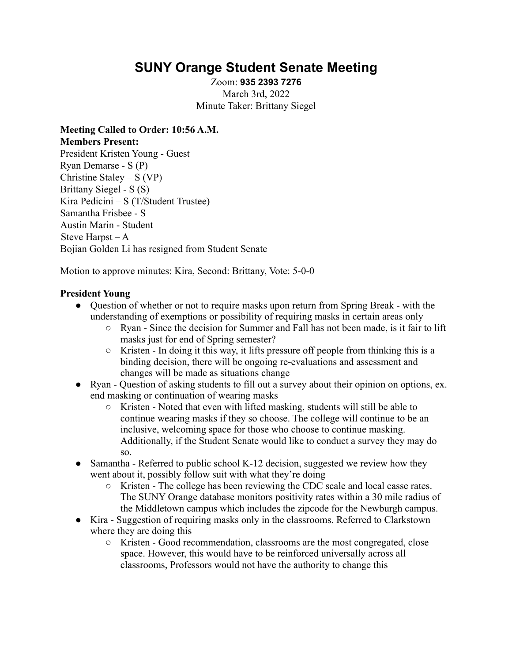# **SUNY Orange Student Senate Meeting**

Zoom: **935 2393 7276** March 3rd, 2022 Minute Taker: Brittany Siegel

**Meeting Called to Order: 10:56 A.M. Members Present:** President Kristen Young - Guest Ryan Demarse - S (P) Christine Staley –  $S (VP)$ Brittany Siegel - S (S) Kira Pedicini – S (T/Student Trustee) Samantha Frisbee - S Austin Marin - Student Steve Harpst – A Bojian Golden Li has resigned from Student Senate

Motion to approve minutes: Kira, Second: Brittany, Vote: 5-0-0

# **President Young**

- Ouestion of whether or not to require masks upon return from Spring Break with the understanding of exemptions or possibility of requiring masks in certain areas only
	- Ryan Since the decision for Summer and Fall has not been made, is it fair to lift masks just for end of Spring semester?
	- $\circ$  Kristen In doing it this way, it lifts pressure off people from thinking this is a binding decision, there will be ongoing re-evaluations and assessment and changes will be made as situations change
- Ryan Question of asking students to fill out a survey about their opinion on options, ex. end masking or continuation of wearing masks
	- Kristen Noted that even with lifted masking, students will still be able to continue wearing masks if they so choose. The college will continue to be an inclusive, welcoming space for those who choose to continue masking. Additionally, if the Student Senate would like to conduct a survey they may do so.
- Samantha Referred to public school K-12 decision, suggested we review how they went about it, possibly follow suit with what they're doing
	- Kristen The college has been reviewing the CDC scale and local casse rates. The SUNY Orange database monitors positivity rates within a 30 mile radius of the Middletown campus which includes the zipcode for the Newburgh campus.
- Kira Suggestion of requiring masks only in the classrooms. Referred to Clarkstown where they are doing this
	- Kristen Good recommendation, classrooms are the most congregated, close space. However, this would have to be reinforced universally across all classrooms, Professors would not have the authority to change this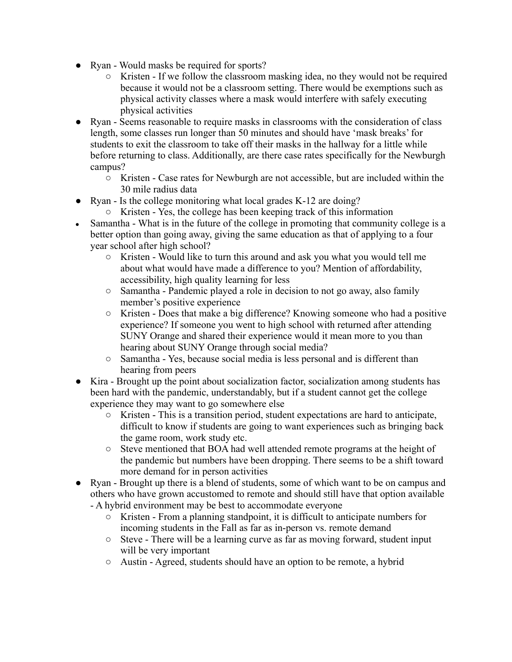- Ryan Would masks be required for sports?
	- Kristen If we follow the classroom masking idea, no they would not be required because it would not be a classroom setting. There would be exemptions such as physical activity classes where a mask would interfere with safely executing physical activities
- Ryan Seems reasonable to require masks in classrooms with the consideration of class length, some classes run longer than 50 minutes and should have 'mask breaks' for students to exit the classroom to take off their masks in the hallway for a little while before returning to class. Additionally, are there case rates specifically for the Newburgh campus?
	- Kristen Case rates for Newburgh are not accessible, but are included within the 30 mile radius data
- Ryan Is the college monitoring what local grades K-12 are doing?
	- Kristen Yes, the college has been keeping track of this information
- Samantha What is in the future of the college in promoting that community college is a better option than going away, giving the same education as that of applying to a four year school after high school?
	- Kristen Would like to turn this around and ask you what you would tell me about what would have made a difference to you? Mention of affordability, accessibility, high quality learning for less
	- Samantha Pandemic played a role in decision to not go away, also family member's positive experience
	- Kristen Does that make a big difference? Knowing someone who had a positive experience? If someone you went to high school with returned after attending SUNY Orange and shared their experience would it mean more to you than hearing about SUNY Orange through social media?
	- Samantha Yes, because social media is less personal and is different than hearing from peers
- Kira Brought up the point about socialization factor, socialization among students has been hard with the pandemic, understandably, but if a student cannot get the college experience they may want to go somewhere else
	- Kristen This is a transition period, student expectations are hard to anticipate, difficult to know if students are going to want experiences such as bringing back the game room, work study etc.
	- Steve mentioned that BOA had well attended remote programs at the height of the pandemic but numbers have been dropping. There seems to be a shift toward more demand for in person activities
- Ryan Brought up there is a blend of students, some of which want to be on campus and others who have grown accustomed to remote and should still have that option available
	- A hybrid environment may be best to accommodate everyone
		- Kristen From a planning standpoint, it is difficult to anticipate numbers for incoming students in the Fall as far as in-person vs. remote demand
		- Steve There will be a learning curve as far as moving forward, student input will be very important
		- Austin Agreed, students should have an option to be remote, a hybrid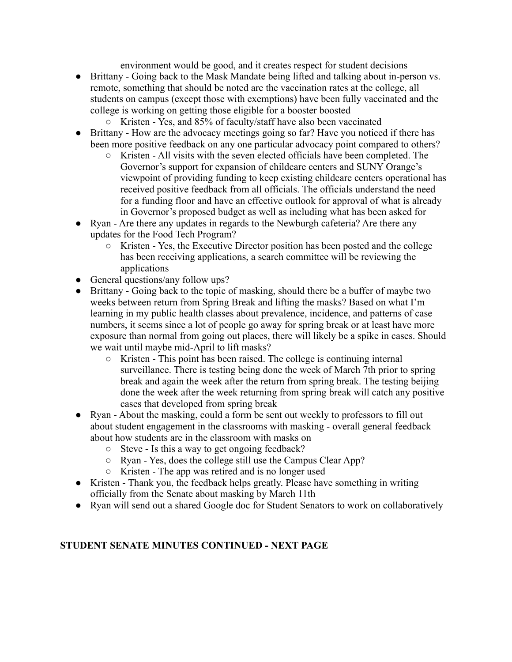environment would be good, and it creates respect for student decisions

- Brittany Going back to the Mask Mandate being lifted and talking about in-person vs. remote, something that should be noted are the vaccination rates at the college, all students on campus (except those with exemptions) have been fully vaccinated and the college is working on getting those eligible for a booster boosted
	- Kristen Yes, and 85% of faculty/staff have also been vaccinated
- Brittany How are the advocacy meetings going so far? Have you noticed if there has been more positive feedback on any one particular advocacy point compared to others?
	- $\circ$  Kristen All visits with the seven elected officials have been completed. The Governor's support for expansion of childcare centers and SUNY Orange's viewpoint of providing funding to keep existing childcare centers operational has received positive feedback from all officials. The officials understand the need for a funding floor and have an effective outlook for approval of what is already in Governor's proposed budget as well as including what has been asked for
- Ryan Are there any updates in regards to the Newburgh cafeteria? Are there any updates for the Food Tech Program?
	- Kristen Yes, the Executive Director position has been posted and the college has been receiving applications, a search committee will be reviewing the applications
- General questions/any follow ups?
- Brittany Going back to the topic of masking, should there be a buffer of maybe two weeks between return from Spring Break and lifting the masks? Based on what I'm learning in my public health classes about prevalence, incidence, and patterns of case numbers, it seems since a lot of people go away for spring break or at least have more exposure than normal from going out places, there will likely be a spike in cases. Should we wait until maybe mid-April to lift masks?
	- Kristen This point has been raised. The college is continuing internal surveillance. There is testing being done the week of March 7th prior to spring break and again the week after the return from spring break. The testing beijing done the week after the week returning from spring break will catch any positive cases that developed from spring break
- Ryan About the masking, could a form be sent out weekly to professors to fill out about student engagement in the classrooms with masking - overall general feedback about how students are in the classroom with masks on
	- Steve Is this a way to get ongoing feedback?
	- Ryan Yes, does the college still use the Campus Clear App?
	- Kristen The app was retired and is no longer used
- Kristen Thank you, the feedback helps greatly. Please have something in writing officially from the Senate about masking by March 11th
- Ryan will send out a shared Google doc for Student Senators to work on collaboratively

## **STUDENT SENATE MINUTES CONTINUED - NEXT PAGE**